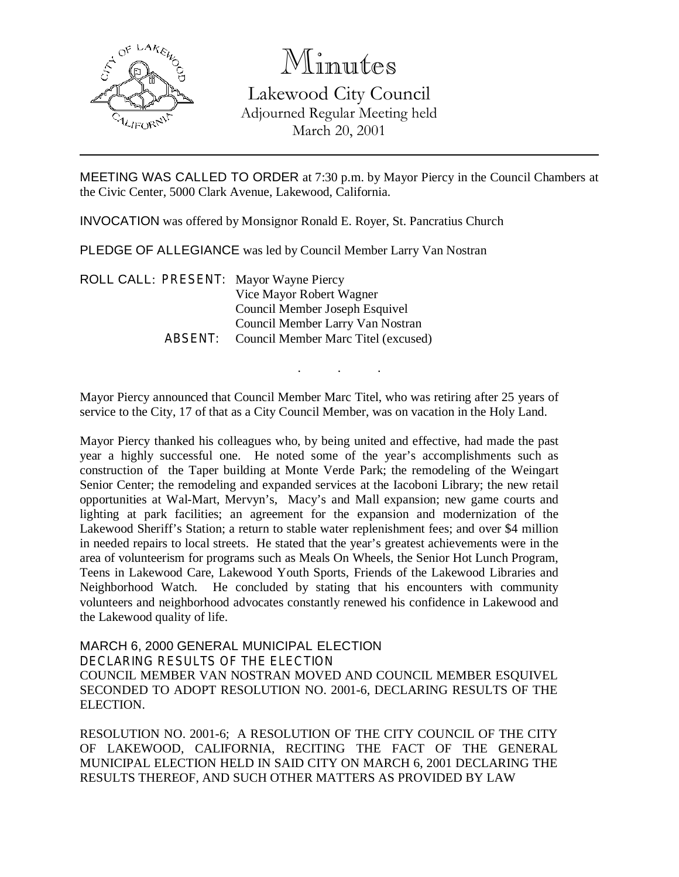

Minutes

Lakewood City Council Adjourned Regular Meeting held March 20, 2001

MEETING WAS CALLED TO ORDER at 7:30 p.m. by Mayor Piercy in the Council Chambers at the Civic Center, 5000 Clark Avenue, Lakewood, California.

INVOCATION was offered by Monsignor Ronald E. Royer, St. Pancratius Church

PLEDGE OF ALLEGIANCE was led by Council Member Larry Van Nostran

ROLL CALL: PRESENT: Mayor Wayne Piercy Vice Mayor Robert Wagner Council Member Joseph Esquivel Council Member Larry Van Nostran ABSENT: Council Member Marc Titel (excused)

Mayor Piercy announced that Council Member Marc Titel, who was retiring after 25 years of service to the City, 17 of that as a City Council Member, was on vacation in the Holy Land.

. . .

Mayor Piercy thanked his colleagues who, by being united and effective, had made the past year a highly successful one. He noted some of the year's accomplishments such as construction of the Taper building at Monte Verde Park; the remodeling of the Weingart Senior Center; the remodeling and expanded services at the Iacoboni Library; the new retail opportunities at Wal-Mart, Mervyn's, Macy's and Mall expansion; new game courts and lighting at park facilities; an agreement for the expansion and modernization of the Lakewood Sheriff's Station; a return to stable water replenishment fees; and over \$4 million in needed repairs to local streets. He stated that the year's greatest achievements were in the area of volunteerism for programs such as Meals On Wheels, the Senior Hot Lunch Program, Teens in Lakewood Care, Lakewood Youth Sports, Friends of the Lakewood Libraries and Neighborhood Watch. He concluded by stating that his encounters with community volunteers and neighborhood advocates constantly renewed his confidence in Lakewood and the Lakewood quality of life.

MARCH 6, 2000 GENERAL MUNICIPAL ELECTION DECLARING RESULTS OF THE ELECTION COUNCIL MEMBER VAN NOSTRAN MOVED AND COUNCIL MEMBER ESQUIVEL SECONDED TO ADOPT RESOLUTION NO. 2001-6, DECLARING RESULTS OF THE ELECTION.

RESOLUTION NO. 2001-6; A RESOLUTION OF THE CITY COUNCIL OF THE CITY OF LAKEWOOD, CALIFORNIA, RECITING THE FACT OF THE GENERAL MUNICIPAL ELECTION HELD IN SAID CITY ON MARCH 6, 2001 DECLARING THE RESULTS THEREOF, AND SUCH OTHER MATTERS AS PROVIDED BY LAW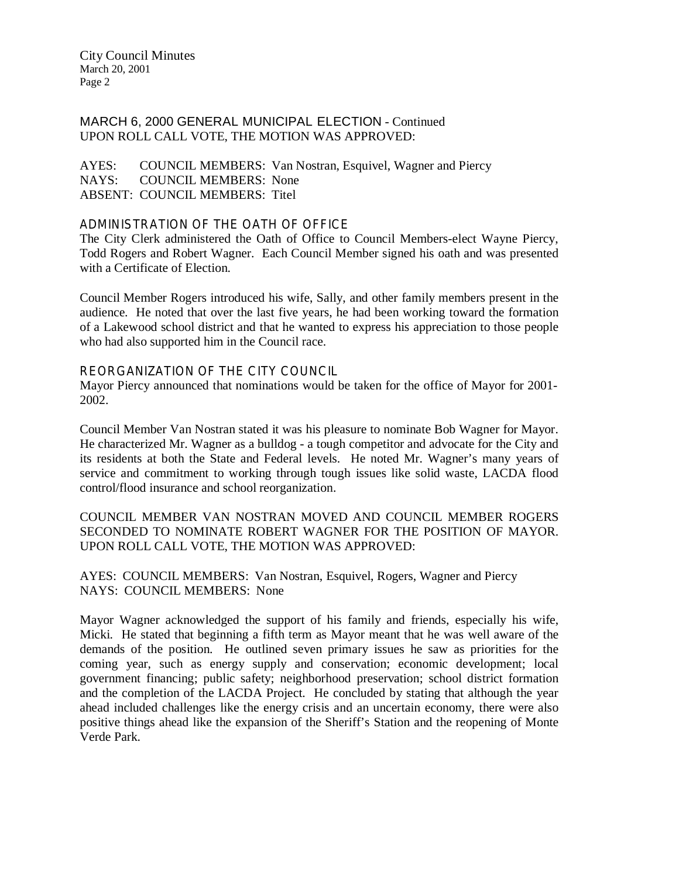City Council Minutes March 20, 2001 Page 2

# MARCH 6, 2000 GENERAL MUNICIPAL ELECTION - Continued UPON ROLL CALL VOTE, THE MOTION WAS APPROVED:

AYES: COUNCIL MEMBERS: Van Nostran, Esquivel, Wagner and Piercy NAYS: COUNCIL MEMBERS: None ABSENT: COUNCIL MEMBERS: Titel

#### ADMINISTRATION OF THE OATH OF OFFICE

The City Clerk administered the Oath of Office to Council Members-elect Wayne Piercy, Todd Rogers and Robert Wagner. Each Council Member signed his oath and was presented with a Certificate of Election.

Council Member Rogers introduced his wife, Sally, and other family members present in the audience. He noted that over the last five years, he had been working toward the formation of a Lakewood school district and that he wanted to express his appreciation to those people who had also supported him in the Council race.

#### REORGANIZATION OF THE CITY COUNCIL

Mayor Piercy announced that nominations would be taken for the office of Mayor for 2001- 2002.

Council Member Van Nostran stated it was his pleasure to nominate Bob Wagner for Mayor. He characterized Mr. Wagner as a bulldog - a tough competitor and advocate for the City and its residents at both the State and Federal levels. He noted Mr. Wagner's many years of service and commitment to working through tough issues like solid waste, LACDA flood control/flood insurance and school reorganization.

## COUNCIL MEMBER VAN NOSTRAN MOVED AND COUNCIL MEMBER ROGERS SECONDED TO NOMINATE ROBERT WAGNER FOR THE POSITION OF MAYOR. UPON ROLL CALL VOTE, THE MOTION WAS APPROVED:

AYES: COUNCIL MEMBERS: Van Nostran, Esquivel, Rogers, Wagner and Piercy NAYS: COUNCIL MEMBERS: None

Mayor Wagner acknowledged the support of his family and friends, especially his wife, Micki. He stated that beginning a fifth term as Mayor meant that he was well aware of the demands of the position. He outlined seven primary issues he saw as priorities for the coming year, such as energy supply and conservation; economic development; local government financing; public safety; neighborhood preservation; school district formation and the completion of the LACDA Project. He concluded by stating that although the year ahead included challenges like the energy crisis and an uncertain economy, there were also positive things ahead like the expansion of the Sheriff's Station and the reopening of Monte Verde Park.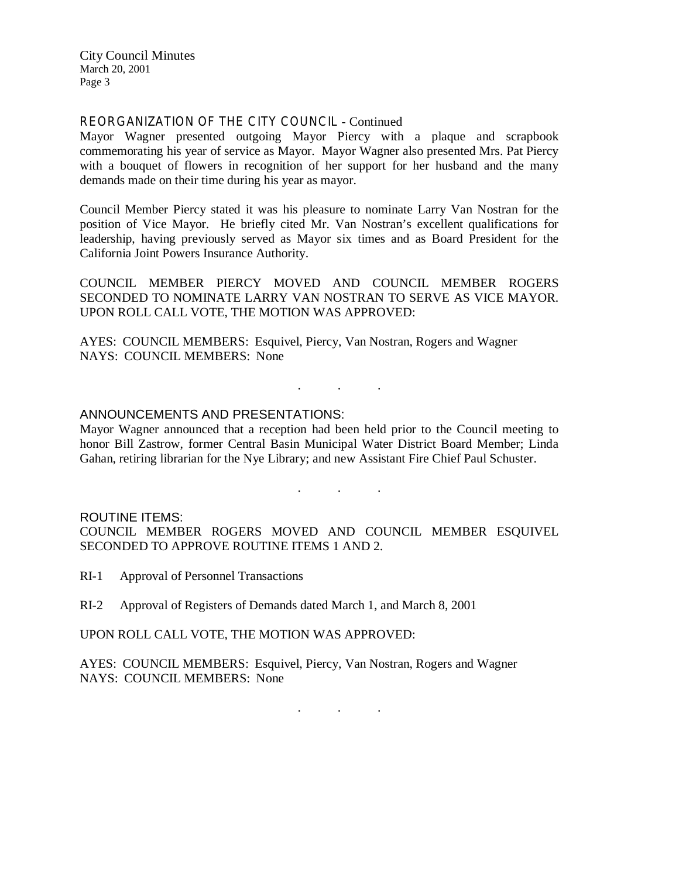City Council Minutes March 20, 2001 Page 3

### REORGANIZATION OF THE CITY COUNCIL - Continued

Mayor Wagner presented outgoing Mayor Piercy with a plaque and scrapbook commemorating his year of service as Mayor. Mayor Wagner also presented Mrs. Pat Piercy with a bouquet of flowers in recognition of her support for her husband and the many demands made on their time during his year as mayor.

Council Member Piercy stated it was his pleasure to nominate Larry Van Nostran for the position of Vice Mayor. He briefly cited Mr. Van Nostran's excellent qualifications for leadership, having previously served as Mayor six times and as Board President for the California Joint Powers Insurance Authority.

COUNCIL MEMBER PIERCY MOVED AND COUNCIL MEMBER ROGERS SECONDED TO NOMINATE LARRY VAN NOSTRAN TO SERVE AS VICE MAYOR. UPON ROLL CALL VOTE, THE MOTION WAS APPROVED:

AYES: COUNCIL MEMBERS: Esquivel, Piercy, Van Nostran, Rogers and Wagner NAYS: COUNCIL MEMBERS: None

## ANNOUNCEMENTS AND PRESENTATIONS:

Mayor Wagner announced that a reception had been held prior to the Council meeting to honor Bill Zastrow, former Central Basin Municipal Water District Board Member; Linda Gahan, retiring librarian for the Nye Library; and new Assistant Fire Chief Paul Schuster.

. . .

. . .

#### ROUTINE ITEMS:

COUNCIL MEMBER ROGERS MOVED AND COUNCIL MEMBER ESQUIVEL SECONDED TO APPROVE ROUTINE ITEMS 1 AND 2.

- RI-1 Approval of Personnel Transactions
- RI-2 Approval of Registers of Demands dated March 1, and March 8, 2001

UPON ROLL CALL VOTE, THE MOTION WAS APPROVED:

AYES: COUNCIL MEMBERS: Esquivel, Piercy, Van Nostran, Rogers and Wagner NAYS: COUNCIL MEMBERS: None

. . .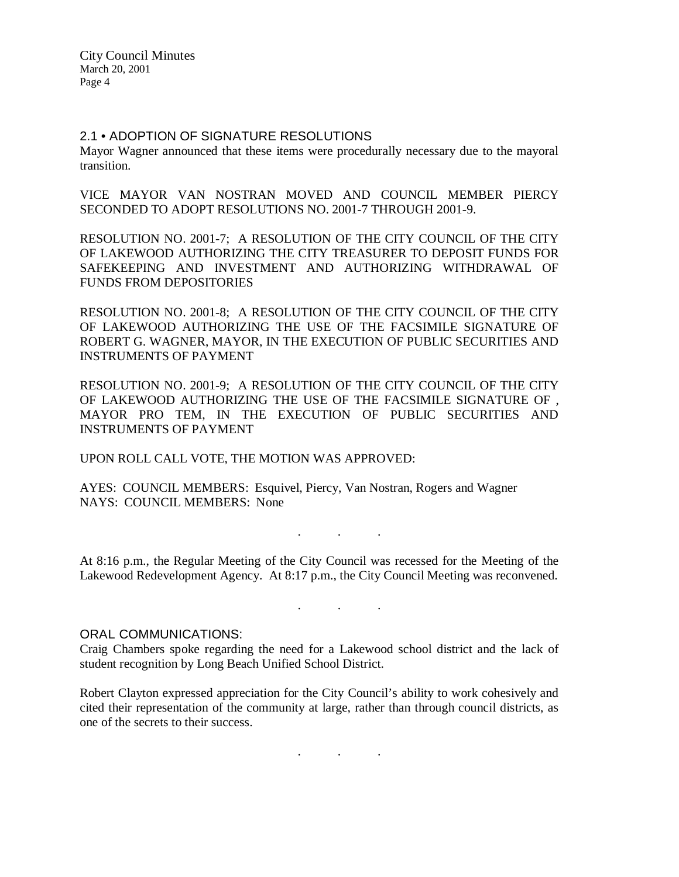## 2.1 • ADOPTION OF SIGNATURE RESOLUTIONS

Mayor Wagner announced that these items were procedurally necessary due to the mayoral transition.

VICE MAYOR VAN NOSTRAN MOVED AND COUNCIL MEMBER PIERCY SECONDED TO ADOPT RESOLUTIONS NO. 2001-7 THROUGH 2001-9.

RESOLUTION NO. 2001-7; A RESOLUTION OF THE CITY COUNCIL OF THE CITY OF LAKEWOOD AUTHORIZING THE CITY TREASURER TO DEPOSIT FUNDS FOR SAFEKEEPING AND INVESTMENT AND AUTHORIZING WITHDRAWAL OF FUNDS FROM DEPOSITORIES

RESOLUTION NO. 2001-8; A RESOLUTION OF THE CITY COUNCIL OF THE CITY OF LAKEWOOD AUTHORIZING THE USE OF THE FACSIMILE SIGNATURE OF ROBERT G. WAGNER, MAYOR, IN THE EXECUTION OF PUBLIC SECURITIES AND INSTRUMENTS OF PAYMENT

RESOLUTION NO. 2001-9; A RESOLUTION OF THE CITY COUNCIL OF THE CITY OF LAKEWOOD AUTHORIZING THE USE OF THE FACSIMILE SIGNATURE OF , MAYOR PRO TEM, IN THE EXECUTION OF PUBLIC SECURITIES AND INSTRUMENTS OF PAYMENT

UPON ROLL CALL VOTE, THE MOTION WAS APPROVED:

AYES: COUNCIL MEMBERS: Esquivel, Piercy, Van Nostran, Rogers and Wagner NAYS: COUNCIL MEMBERS: None

At 8:16 p.m., the Regular Meeting of the City Council was recessed for the Meeting of the Lakewood Redevelopment Agency. At 8:17 p.m., the City Council Meeting was reconvened.

. . .

. . .

#### ORAL COMMUNICATIONS:

Craig Chambers spoke regarding the need for a Lakewood school district and the lack of student recognition by Long Beach Unified School District.

Robert Clayton expressed appreciation for the City Council's ability to work cohesively and cited their representation of the community at large, rather than through council districts, as one of the secrets to their success.

. . .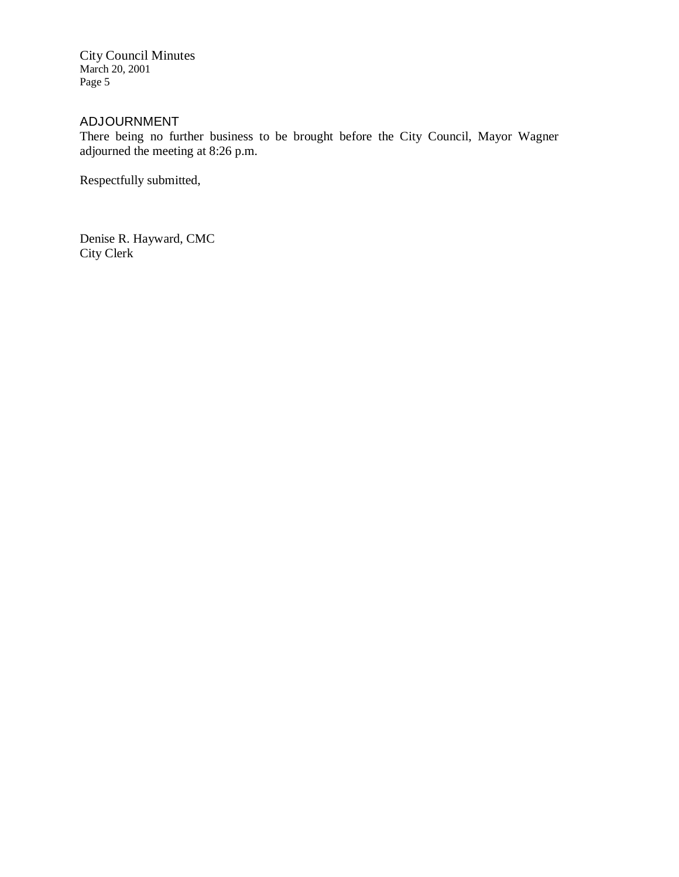City Council Minutes March 20, 2001 Page 5

# ADJOURNMENT

There being no further business to be brought before the City Council, Mayor Wagner adjourned the meeting at 8:26 p.m.

Respectfully submitted,

Denise R. Hayward, CMC City Clerk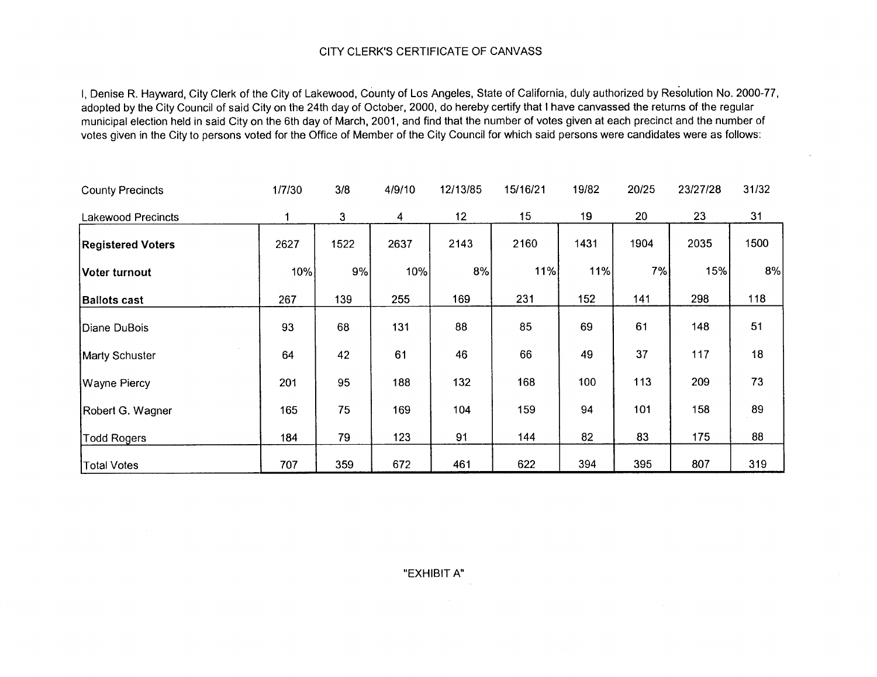# CITY CLERK'S CLERK'S CERTIFICATE OF CANVASS

l, Denise R. Hayward, City Clerk of the City of Lakewood, County of Los Angeles, State of California, duly authorized by Resolution No. 2000-77,<br>In the child of the City Clerk of the City of Lakewood, County of Los Angeles adopted by the City Council of said City on the 24th day of October, 2000, do hereby certify that <sup>I</sup> have canvassed the returns of the regular municipal election held in said City on the 6th day of March, 2001, and find that the number of votes given at each precinct and the number of votes given in the City to persons voted for the Office of Member of the City Council for which said persons were candidates were as follows:

| <b>County Precincts</b>   | 1/7/30 | 3/8  | 4/9/10 | 12/13/85 | 15/16/21 | 19/82 | 20/25 | 23/27/28 | 31/32 |
|---------------------------|--------|------|--------|----------|----------|-------|-------|----------|-------|
| <b>Lakewood Precincts</b> | 1      | 3    | 4      | 12       | 15       | 19    | 20    | 23       | 31    |
| <b>Registered Voters</b>  | 2627   | 1522 | 2637   | 2143     | 2160     | 1431  | 1904  | 2035     | 1500  |
| Voter turnout             | 10%    | 9%   | 10%    | 8%       | 11%      | 11%   | 7%    | 15%      | 8%    |
| <b>Ballots cast</b>       | 267    | 139  | 255    | 169      | 231      | 152   | 141   | 298      | 118   |
| Diane DuBois              | 93     | 68   | 131    | 88       | 85       | 69    | 61    | 148      | 51    |
| Marty Schuster            | 64     | 42   | 61     | 46       | 66       | 49    | 37    | 117      | 18    |
| Wayne Piercy              | 201    | 95   | 188    | 132      | 168      | 100   | 113   | 209      | 73    |
| Robert G. Wagner          | 165    | 75   | 169    | 104      | 159      | 94    | 101   | 158      | 89    |
| <b>Todd Rogers</b>        | 184    | 79   | 123    | 91       | 144      | 82    | 83    | 175      | 88    |
| <b>Total Votes</b>        | 707    | 359  | 672    | 461      | 622      | 394   | 395   | 807      | 319   |

EXHIBIT A"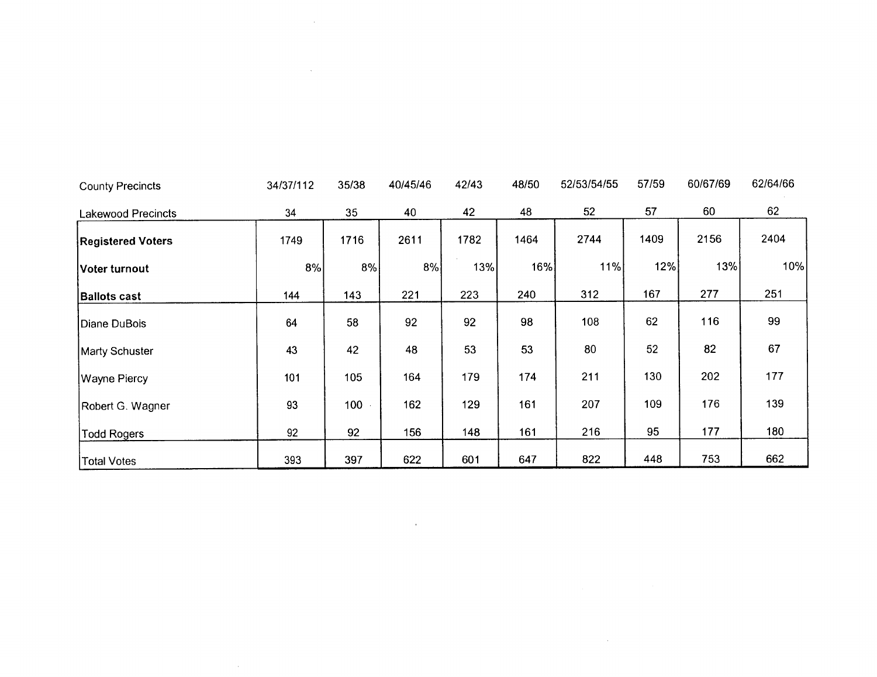| <b>County Precincts</b>   | 34/37/112 | 35/38            | 40/45/46 | 42/43 | 48/50 | 52/53/54/55 | 57/59 | 60/67/69 | 62/64/66 |
|---------------------------|-----------|------------------|----------|-------|-------|-------------|-------|----------|----------|
| <b>Lakewood Precincts</b> | 34        | 35               | 40       | 42    | 48    | 52          | 57    | 60       | 62       |
| <b>Registered Voters</b>  | 1749      | 1716             | 2611     | 1782  | 1464  | 2744        | 1409  | 2156     | 2404     |
| Voter turnout             | 8%        | 8%               | 8%       | 13%   | 16%   | 11%         | 12%   | 13%      | 10%      |
| <b>Ballots cast</b>       | 144       | 143              | 221      | 223   | 240   | 312         | 167   | 277      | 251      |
| Diane DuBois              | 64        | 58               | 92       | 92    | 98    | 108         | 62    | 116      | 99       |
| Marty Schuster            | 43        | 42               | 48       | 53    | 53    | 80          | 52    | 82       | 67       |
| Wayne Piercy              | 101       | 105              | 164      | 179   | 174   | 211         | 130   | 202      | 177      |
| Robert G. Wagner          | 93        | 100 <sub>1</sub> | 162      | 129   | 161   | 207         | 109   | 176      | 139      |
| Todd Rogers               | 92        | 92               | 156      | 148   | 161   | 216         | 95    | 177      | 180      |
| Total Votes               | 393       | 397              | 622      | 601   | 647   | 822         | 448   | 753      | 662      |

 $\mathcal{L}(\mathcal{L}(\mathcal{L}))$  and  $\mathcal{L}(\mathcal{L}(\mathcal{L}))$  . The contribution of  $\mathcal{L}(\mathcal{L})$ 

 $\label{eq:2.1} \frac{1}{\sqrt{2}}\left(\frac{1}{\sqrt{2}}\right)^{2} \left(\frac{1}{\sqrt{2}}\right)^{2} \left(\frac{1}{\sqrt{2}}\right)^{2} \left(\frac{1}{\sqrt{2}}\right)^{2} \left(\frac{1}{\sqrt{2}}\right)^{2} \left(\frac{1}{\sqrt{2}}\right)^{2} \left(\frac{1}{\sqrt{2}}\right)^{2} \left(\frac{1}{\sqrt{2}}\right)^{2} \left(\frac{1}{\sqrt{2}}\right)^{2} \left(\frac{1}{\sqrt{2}}\right)^{2} \left(\frac{1}{\sqrt{2}}\right)^{2} \left(\$ 

 $\sim 10^{11}$ 

 $\label{eq:2.1} \frac{1}{\sqrt{2}}\int_{\mathbb{R}^3}\frac{1}{\sqrt{2}}\left(\frac{1}{\sqrt{2}}\right)^2\frac{1}{\sqrt{2}}\left(\frac{1}{\sqrt{2}}\right)^2\frac{1}{\sqrt{2}}\left(\frac{1}{\sqrt{2}}\right)^2\frac{1}{\sqrt{2}}\left(\frac{1}{\sqrt{2}}\right)^2\frac{1}{\sqrt{2}}\left(\frac{1}{\sqrt{2}}\right)^2\frac{1}{\sqrt{2}}\frac{1}{\sqrt{2}}\frac{1}{\sqrt{2}}\frac{1}{\sqrt{2}}\frac{1}{\sqrt{2}}\frac{1}{\sqrt{2}}$